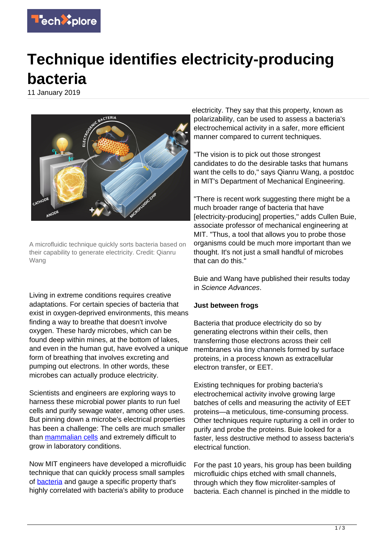

## **Technique identifies electricity-producing bacteria**

11 January 2019



A microfluidic technique quickly sorts bacteria based on their capability to generate electricity. Credit: Qianru Wang

Living in extreme conditions requires creative adaptations. For certain species of bacteria that exist in oxygen-deprived environments, this means finding a way to breathe that doesn't involve oxygen. These hardy microbes, which can be found deep within mines, at the bottom of lakes, and even in the human gut, have evolved a unique form of breathing that involves excreting and pumping out electrons. In other words, these microbes can actually produce electricity.

Scientists and engineers are exploring ways to harness these microbial power plants to run fuel cells and purify sewage water, among other uses. But pinning down a microbe's electrical properties has been a challenge: The cells are much smaller than [mammalian cells](https://techxplore.com/tags/mammalian+cells/) and extremely difficult to grow in laboratory conditions.

Now MIT engineers have developed a microfluidic technique that can quickly process small samples of [bacteria](https://techxplore.com/tags/bacteria/) and gauge a specific property that's highly correlated with bacteria's ability to produce

electricity. They say that this property, known as polarizability, can be used to assess a bacteria's electrochemical activity in a safer, more efficient manner compared to current techniques.

"The vision is to pick out those strongest candidates to do the desirable tasks that humans want the cells to do," says Qianru Wang, a postdoc in MIT's Department of Mechanical Engineering.

"There is recent work suggesting there might be a much broader range of bacteria that have [electricity-producing] properties," adds Cullen Buie, associate professor of mechanical engineering at MIT. "Thus, a tool that allows you to probe those organisms could be much more important than we thought. It's not just a small handful of microbes that can do this."

Buie and Wang have published their results today in Science Advances.

## **Just between frogs**

Bacteria that produce electricity do so by generating electrons within their cells, then transferring those electrons across their cell membranes via tiny channels formed by surface proteins, in a process known as extracellular electron transfer, or EET.

Existing techniques for probing bacteria's electrochemical activity involve growing large batches of cells and measuring the activity of EET proteins—a meticulous, time-consuming process. Other techniques require rupturing a cell in order to purify and probe the proteins. Buie looked for a faster, less destructive method to assess bacteria's electrical function.

For the past 10 years, his group has been building microfluidic chips etched with small channels, through which they flow microliter-samples of bacteria. Each channel is pinched in the middle to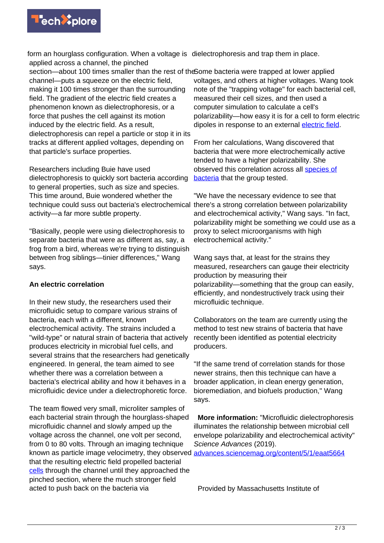

form an hourglass configuration. When a voltage is dielectrophoresis and trap them in place. applied across a channel, the pinched

section—about 100 times smaller than the rest of the Some bacteria were trapped at lower applied channel—puts a squeeze on the electric field, making it 100 times stronger than the surrounding field. The gradient of the electric field creates a phenomenon known as dielectrophoresis, or a force that pushes the cell against its motion induced by the electric field. As a result, dielectrophoresis can repel a particle or stop it in its tracks at different applied voltages, depending on that particle's surface properties.

Researchers including Buie have used dielectrophoresis to quickly sort bacteria according to general properties, such as size and species. This time around, Buie wondered whether the technique could suss out bacteria's electrochemical there's a strong correlation between polarizability activity—a far more subtle property.

"Basically, people were using dielectrophoresis to separate bacteria that were as different as, say, a frog from a bird, whereas we're trying to distinguish between frog siblings—tinier differences," Wang says.

## **An electric correlation**

In their new study, the researchers used their microfluidic setup to compare various strains of bacteria, each with a different, known electrochemical activity. The strains included a "wild-type" or natural strain of bacteria that actively produces electricity in microbial fuel cells, and several strains that the researchers had genetically engineered. In general, the team aimed to see whether there was a correlation between a bacteria's electrical ability and how it behaves in a microfluidic device under a dielectrophoretic force.

The team flowed very small, microliter samples of each bacterial strain through the hourglass-shaped microfluidic channel and slowly amped up the voltage across the channel, one volt per second, from 0 to 80 volts. Through an imaging technique known as particle image velocimetry, they observed [advances.sciencemag.org/content/5/1/eaat5664](http://advances.sciencemag.org/content/5/1/eaat5664) that the resulting electric field propelled bacterial [cells](https://techxplore.com/tags/cells/) through the channel until they approached the pinched section, where the much stronger field acted to push back on the bacteria via

voltages, and others at higher voltages. Wang took note of the "trapping voltage" for each bacterial cell, measured their cell sizes, and then used a computer simulation to calculate a cell's polarizability—how easy it is for a cell to form electric dipoles in response to an external [electric field](https://techxplore.com/tags/electric+field/).

From her calculations, Wang discovered that bacteria that were more electrochemically active tended to have a higher polarizability. She observed this correlation across all [species of](https://techxplore.com/tags/species+of+bacteria/) [bacteria](https://techxplore.com/tags/species+of+bacteria/) that the group tested.

"We have the necessary evidence to see that and electrochemical activity," Wang says. "In fact, polarizability might be something we could use as a proxy to select microorganisms with high electrochemical activity."

Wang says that, at least for the strains they measured, researchers can gauge their electricity production by measuring their polarizability—something that the group can easily, efficiently, and nondestructively track using their microfluidic technique.

Collaborators on the team are currently using the method to test new strains of bacteria that have recently been identified as potential electricity producers.

"If the same trend of correlation stands for those newer strains, then this technique can have a broader application, in clean energy generation, bioremediation, and biofuels production," Wang says.

 **More information:** "Microfluidic dielectrophoresis illuminates the relationship between microbial cell envelope polarizability and electrochemical activity" Science Advances (2019).

Provided by Massachusetts Institute of